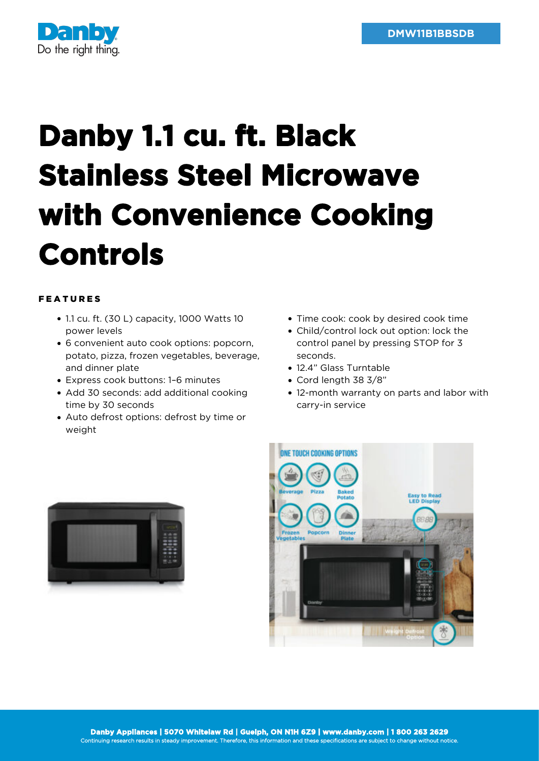

## **Danby 1.1 cu. ft. Black Stainless Steel Microwave with Convenience Cooking Controls**

## FEATURES

- 1.1 cu. ft. (30 L) capacity, 1000 Watts 10 power levels
- 6 convenient auto cook options: popcorn, potato, pizza, frozen vegetables, beverage, and dinner plate
- Express cook buttons: 1–6 minutes
- Add 30 seconds: add additional cooking time by 30 seconds
- Auto defrost options: defrost by time or weight
- Time cook: cook by desired cook time
- Child/control lock out option: lock the control panel by pressing STOP for 3 seconds.
- 12.4" Glass Turntable
- Cord length 38 3/8"
- 12-month warranty on parts and labor with carry-in service